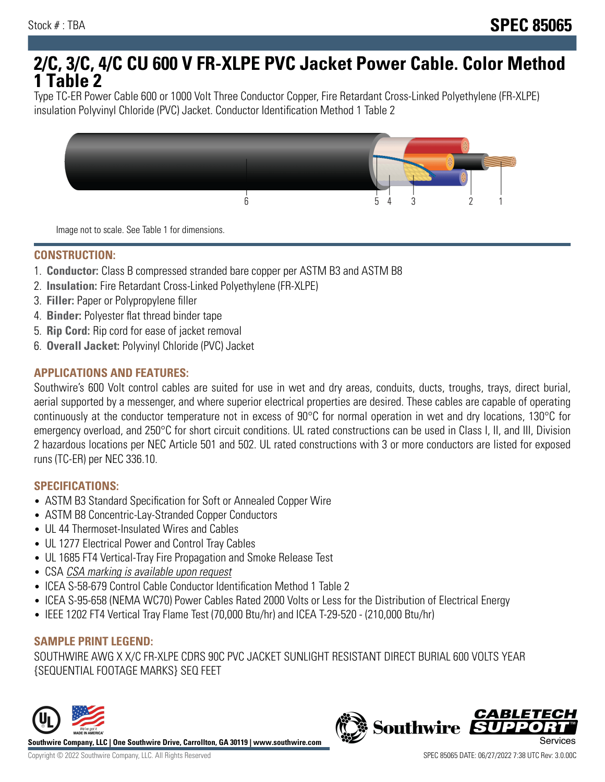# **2/C, 3/C, 4/C CU 600 V FR-XLPE PVC Jacket Power Cable. Color Method 1 Table 2**

Type TC-ER Power Cable 600 or 1000 Volt Three Conductor Copper, Fire Retardant Cross-Linked Polyethylene (FR-XLPE) insulation Polyvinyl Chloride (PVC) Jacket. Conductor Identification Method 1 Table 2



Image not to scale. See Table 1 for dimensions.

#### **CONSTRUCTION:**

- 1. **Conductor:** Class B compressed stranded bare copper per ASTM B3 and ASTM B8
- 2. **Insulation:** Fire Retardant Cross-Linked Polyethylene (FR-XLPE)
- 3. **Filler:** Paper or Polypropylene filler
- 4. **Binder:** Polyester flat thread binder tape
- 5. **Rip Cord:** Rip cord for ease of jacket removal
- 6. **Overall Jacket:** Polyvinyl Chloride (PVC) Jacket

## **APPLICATIONS AND FEATURES:**

Southwire's 600 Volt control cables are suited for use in wet and dry areas, conduits, ducts, troughs, trays, direct burial, aerial supported by a messenger, and where superior electrical properties are desired. These cables are capable of operating continuously at the conductor temperature not in excess of 90°C for normal operation in wet and dry locations, 130°C for emergency overload, and 250°C for short circuit conditions. UL rated constructions can be used in Class I, II, and III, Division 2 hazardous locations per NEC Article 501 and 502. UL rated constructions with 3 or more conductors are listed for exposed runs (TC-ER) per NEC 336.10.

#### **SPECIFICATIONS:**

- ASTM B3 Standard Specification for Soft or Annealed Copper Wire
- ASTM B8 Concentric-Lay-Stranded Copper Conductors
- UL 44 Thermoset-Insulated Wires and Cables
- UL 1277 Electrical Power and Control Tray Cables
- UL 1685 FT4 Vertical-Tray Fire Propagation and Smoke Release Test
- CSA CSA marking is available upon request
- ICEA S-58-679 Control Cable Conductor Identification Method 1 Table 2
- ICEA S-95-658 (NEMA WC70) Power Cables Rated 2000 Volts or Less for the Distribution of Electrical Energy
- IEEE 1202 FT4 Vertical Tray Flame Test (70,000 Btu/hr) and ICEA T-29-520 (210,000 Btu/hr)

#### **SAMPLE PRINT LEGEND:**

SOUTHWIRE AWG X X/C FR-XLPE CDRS 90C PVC JACKET SUNLIGHT RESISTANT DIRECT BURIAL 600 VOLTS YEAR {SEQUENTIAL FOOTAGE MARKS} SEQ FEET